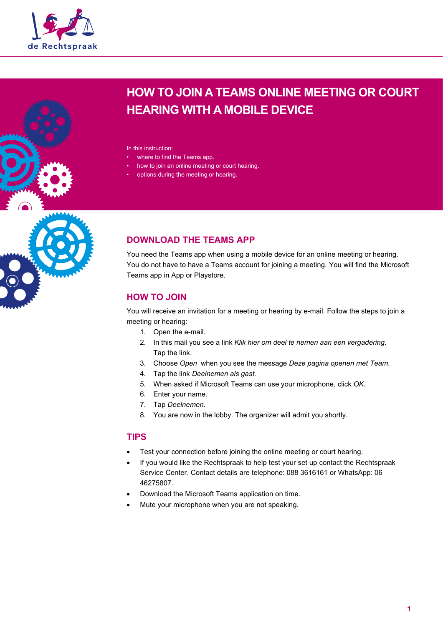



In this instruction:

- where to find the Teams app.
- how to join an online meeting or court hearing.
- options during the meeting or hearing.



## **DOWNLOAD THE TEAMS APP**

You need the Teams app when using a mobile device for an online meeting or hearing. You do not have to have a Teams account for joining a meeting. You will find the Microsoft Teams app in App or Playstore.

## **HOW TO JOIN**

You will receive an invitation for a meeting or hearing by e-mail. Follow the steps to join a meeting or hearing:

- 1. Open the e-mail.
- 2. In this mail you see a link *Klik hier om deel te nemen aan een vergadering.*  Tap the link.
- 3. Choose *Open* when you see the message *Deze pagina openen met Team*.
- 4. Tap the link *Deelnemen als gast.*
- 5. When asked if Microsoft Teams can use your microphone, click *OK.*
- 6. Enter your name.
- 7. Tap *Deelnemen.*
- 8. You are now in the lobby. The organizer will admit you shortly.

### **TIPS**

- Test your connection before joining the online meeting or court hearing.
- If you would like the Rechtspraak to help test your set up contact the Rechtspraak Service Center. Contact details are telephone: 088 3616161 or WhatsApp: 06 46275807.
- Download the Microsoft Teams application on time.
- Mute your microphone when you are not speaking.